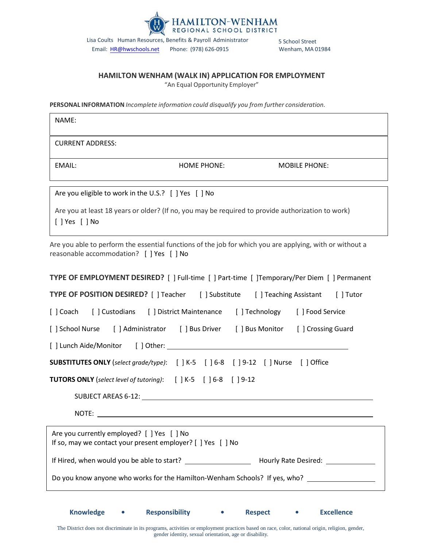

Email: HR[@hwschools.net](mailto:d.oneil@HWSchools.net) Phone: (978) 626-0915 Wenham, MA 01984

## **HAMILTON WENHAM (WALK IN) APPLICATION FOR EMPLOYMENT**

"An Equal Opportunity Employer"

**PERSONAL INFORMATION** *Incomplete information could disqualify you from further consideration.*

| NAME:                                                                                                                                                |  |  |  |  |  |  |
|------------------------------------------------------------------------------------------------------------------------------------------------------|--|--|--|--|--|--|
| <b>CURRENT ADDRESS:</b>                                                                                                                              |  |  |  |  |  |  |
| EMAIL:<br><b>HOME PHONE:</b><br><b>MOBILE PHONE:</b>                                                                                                 |  |  |  |  |  |  |
| Are you eligible to work in the U.S.? [ ] Yes [ ] No                                                                                                 |  |  |  |  |  |  |
| Are you at least 18 years or older? (If no, you may be required to provide authorization to work)<br>[ ] Yes [ ] No                                  |  |  |  |  |  |  |
| Are you able to perform the essential functions of the job for which you are applying, with or without a<br>reasonable accommodation? [ ] Yes [ ] No |  |  |  |  |  |  |
| <b>TYPE OF EMPLOYMENT DESIRED?</b> [ ] Full-time [ ] Part-time [ ] Temporary/Per Diem [ ] Permanent                                                  |  |  |  |  |  |  |
| TYPE OF POSITION DESIRED? [ ] Teacher [ ] Substitute [ ] Teaching Assistant [ ] Tutor                                                                |  |  |  |  |  |  |
| [] Custodians [] District Maintenance [] Technology [] Food Service<br>[ ] Coach                                                                     |  |  |  |  |  |  |
| [ ] School Nurse [ ] Administrator [ ] Bus Driver [ ] Bus Monitor [ ] Crossing Guard                                                                 |  |  |  |  |  |  |
|                                                                                                                                                      |  |  |  |  |  |  |
| <b>SUBSTITUTES ONLY</b> (select grade/type): [ ] K-5 [ ] 6-8 [ ] 9-12 [ ] Nurse [ ] Office                                                           |  |  |  |  |  |  |
| <b>TUTORS ONLY</b> (select level of tutoring): [ ] K-5 [ ] 6-8 [ ] 9-12                                                                              |  |  |  |  |  |  |
| SUBJECT AREAS 6-12: North and the set of the set of the set of the set of the set of the set of the set of the                                       |  |  |  |  |  |  |
| NOTE:                                                                                                                                                |  |  |  |  |  |  |
| Are you currently employed? [ ] Yes [ ] No<br>If so, may we contact your present employer? [ ] Yes [ ] No                                            |  |  |  |  |  |  |
|                                                                                                                                                      |  |  |  |  |  |  |
| Do you know anyone who works for the Hamilton-Wenham Schools? If yes, who?                                                                           |  |  |  |  |  |  |
|                                                                                                                                                      |  |  |  |  |  |  |

The District does not discriminate in its programs, activities or employment practices based on race, color, national origin, religion, gender, gender identity, sexual orientation, age or disability.

**Knowledge • Responsibility • Respect • Excellence**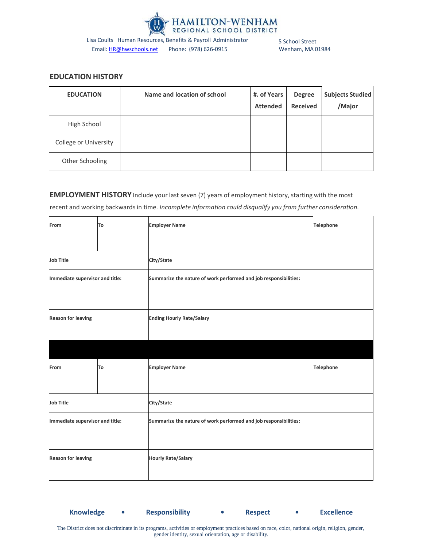

Email: HR[@hwschools.net](mailto:d.oneil@HWSchools.net) Phone: (978) 626-0915 Wenham, MA 01984

# **EDUCATION HISTORY**

| <b>EDUCATION</b>      | Name and location of school | #. of Years<br><b>Attended</b> | <b>Degree</b><br><b>Received</b> | <b>Subjects Studied</b><br>/Major |
|-----------------------|-----------------------------|--------------------------------|----------------------------------|-----------------------------------|
| High School           |                             |                                |                                  |                                   |
| College or University |                             |                                |                                  |                                   |
| Other Schooling       |                             |                                |                                  |                                   |

## **EMPLOYMENT HISTORY** Include your last seven (7) years of employment history, starting with the most

recent and working backwardsin time. *Incomplete information could disqualify you from further consideration.*

| From                            | To         | <b>Employer Name</b>                                             | <b>Telephone</b> |  |
|---------------------------------|------------|------------------------------------------------------------------|------------------|--|
|                                 |            |                                                                  |                  |  |
| <b>Job Title</b>                | City/State |                                                                  |                  |  |
| Immediate supervisor and title: |            | Summarize the nature of work performed and job responsibilities: |                  |  |
|                                 |            |                                                                  |                  |  |
| <b>Reason for leaving</b>       |            | <b>Ending Hourly Rate/Salary</b>                                 |                  |  |
|                                 |            |                                                                  |                  |  |
|                                 |            |                                                                  |                  |  |
| From                            | To         | <b>Employer Name</b>                                             | <b>Telephone</b> |  |
|                                 |            |                                                                  |                  |  |
| Job Title                       | City/State |                                                                  |                  |  |
| Immediate supervisor and title: |            | Summarize the nature of work performed and job responsibilities: |                  |  |
|                                 |            |                                                                  |                  |  |
| <b>Reason for leaving</b>       |            | <b>Hourly Rate/Salary</b>                                        |                  |  |
|                                 |            |                                                                  |                  |  |

**Knowledge • Responsibility • Respect • Excellence**

The District does not discriminate in its programs, activities or employment practices based on race, color, national origin, religion, gender, gender identity, sexual orientation, age or disability.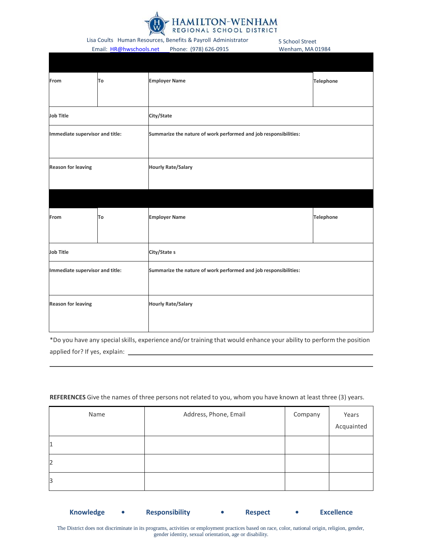

Email: HR[@hwschools.net](mailto:d.oneil@HWSchools.net) Phone: (978) 626-0915 Wenham, MA 01984

| From                            | To | <b>Employer Name</b>                                             | <b>Telephone</b> |  |
|---------------------------------|----|------------------------------------------------------------------|------------------|--|
|                                 |    |                                                                  |                  |  |
| <b>Job Title</b>                |    | City/State                                                       |                  |  |
| Immediate supervisor and title: |    | Summarize the nature of work performed and job responsibilities: |                  |  |
| <b>Reason for leaving</b>       |    | <b>Hourly Rate/Salary</b>                                        |                  |  |
|                                 |    |                                                                  |                  |  |
| From                            | To | <b>Employer Name</b>                                             | <b>Telephone</b> |  |
| <b>Job Title</b>                |    | City/State s                                                     |                  |  |
| Immediate supervisor and title: |    | Summarize the nature of work performed and job responsibilities: |                  |  |
| <b>Reason for leaving</b>       |    | <b>Hourly Rate/Salary</b>                                        |                  |  |

\*Do you have any specialskills, experience and/or training that would enhance your ability to perform the position applied for? If yes, explain:

# Name and Address, Phone, Email Company Years Acquainted 1 2 3

### **REFERENCES** Give the names of three persons not related to you, whom you have known at least three (3) years.

The District does not discriminate in its programs, activities or employment practices based on race, color, national origin, religion, gender, gender identity, sexual orientation, age or disability.

**Knowledge • Responsibility • Respect • Excellence**